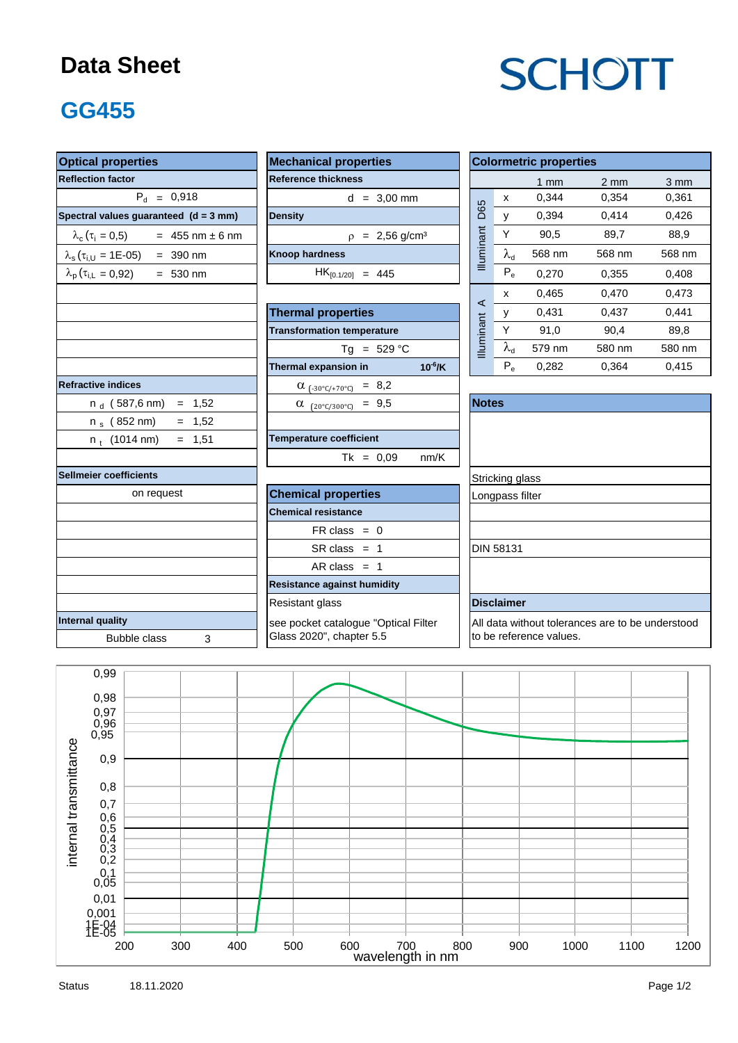### **Data Sheet**

# **SCHOTT**

# **GG455**

| <b>Optical properties</b>                         | <b>Mechanical properties</b>            |                                                  |                    |                         | <b>Colormetric properties</b> |                  |        |  |  |  |
|---------------------------------------------------|-----------------------------------------|--------------------------------------------------|--------------------|-------------------------|-------------------------------|------------------|--------|--|--|--|
| <b>Reflection factor</b>                          | <b>Reference thickness</b>              |                                                  |                    | $1$ mm                  | $2 \, \text{mm}$              | $3 \, \text{mm}$ |        |  |  |  |
| $P_d = 0,918$                                     | $d = 3,00$ mm                           | <b>D65</b>                                       | $\pmb{\mathsf{X}}$ | 0,344                   | 0,354                         | 0,361            |        |  |  |  |
| Spectral values guaranteed (d = 3 mm)             | <b>Density</b>                          |                                                  |                    | y                       | 0,394                         | 0,414            | 0,426  |  |  |  |
| $\lambda_c(\tau_i = 0.5)$ = 455 nm ± 6 nm         | $p = 2,56$ g/cm <sup>3</sup>            |                                                  | Y                  | 90,5                    | 89.7                          | 88.9             |        |  |  |  |
| $\lambda_s(\tau_{i,U} = 1E-05) = 390$ nm          | <b>Knoop hardness</b>                   | Illuminant                                       | $\lambda_{\rm d}$  | 568 nm                  | 568 nm                        | 568 nm           |        |  |  |  |
| $\lambda_{\rm p}(\tau_{\rm i,L} = 0.92)$ = 530 nm | $HK_{[0.1/20]} = 445$                   |                                                  | $P_e$              | 0,270                   | 0,355                         | 0,408            |        |  |  |  |
|                                                   |                                         |                                                  | x                  | 0,465                   | 0,470                         | 0,473            |        |  |  |  |
|                                                   | <b>Thermal properties</b>               | $\prec$                                          | У                  | 0,431                   | 0,437                         | 0,441            |        |  |  |  |
|                                                   | <b>Transformation temperature</b>       |                                                  | Y                  | 91,0                    | 90,4                          | 89,8             |        |  |  |  |
|                                                   | $Tg = 529 °C$                           |                                                  | Illuminant         | $\lambda_{\rm d}$       | 579 nm                        | 580 nm           | 580 nm |  |  |  |
|                                                   | Thermal expansion in                    | $10^{-6}$ /K                                     |                    | $P_e$                   | 0,282                         | 0,364            | 0,415  |  |  |  |
| <b>Refractive indices</b>                         | $\alpha$ <sub>(-30°C/+70°C)</sub> = 8,2 |                                                  |                    |                         |                               |                  |        |  |  |  |
| $n_d$ (587,6 nm) = 1,52                           | $\alpha$ (20°C/300°C) = 9,5             | <b>Notes</b>                                     |                    |                         |                               |                  |        |  |  |  |
| $= 1,52$<br>n $_{\rm s}$ (852 nm)                 |                                         |                                                  |                    |                         |                               |                  |        |  |  |  |
| $= 1,51$<br>$n_t$ (1014 nm)                       | <b>Temperature coefficient</b>          |                                                  |                    |                         |                               |                  |        |  |  |  |
|                                                   | $Tk = 0.09$                             | nm/K                                             |                    |                         |                               |                  |        |  |  |  |
| Sellmeier coefficients                            |                                         |                                                  |                    | Stricking glass         |                               |                  |        |  |  |  |
| on request                                        | <b>Chemical properties</b>              |                                                  |                    | Longpass filter         |                               |                  |        |  |  |  |
|                                                   | <b>Chemical resistance</b>              |                                                  |                    |                         |                               |                  |        |  |  |  |
|                                                   | $FR \text{ class } = 0$                 |                                                  |                    |                         |                               |                  |        |  |  |  |
|                                                   | $SR class = 1$                          |                                                  |                    | <b>DIN 58131</b>        |                               |                  |        |  |  |  |
|                                                   | AR class $= 1$                          |                                                  |                    |                         |                               |                  |        |  |  |  |
|                                                   | <b>Resistance against humidity</b>      |                                                  |                    |                         |                               |                  |        |  |  |  |
|                                                   | <b>Disclaimer</b>                       |                                                  |                    |                         |                               |                  |        |  |  |  |
| Internal quality                                  | see pocket catalogue "Optical Filter    | All data without tolerances are to be understood |                    |                         |                               |                  |        |  |  |  |
| <b>Bubble class</b><br>3                          | Glass 2020", chapter 5.5                |                                                  |                    | to be reference values. |                               |                  |        |  |  |  |